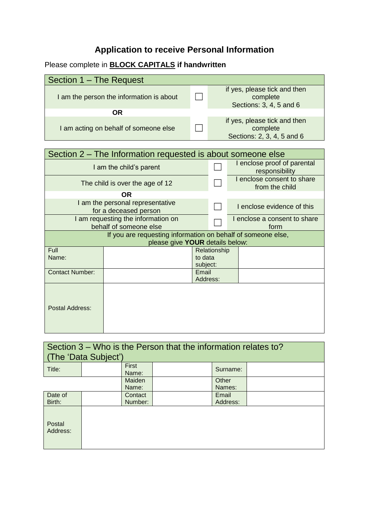# **Application to receive Personal Information**

### Please complete in **BLOCK CAPITALS if handwritten**

| Section 1 – The Request                  |                                                                        |
|------------------------------------------|------------------------------------------------------------------------|
| I am the person the information is about | if yes, please tick and then<br>complete<br>Sections: 3, 4, 5 and 6    |
| ΟR                                       |                                                                        |
| I am acting on behalf of someone else    | if yes, please tick and then<br>complete<br>Sections: 2, 3, 4, 5 and 6 |

#### Section 2 – The Information requested is about someone else I am the child's parent **□** I enclose proof of parental responsibility The child is over the age of 12  $\Box$ I enclose consent to share from the child **OR** I am the personal representative<br>for a deceased person  $\Box$  I enclose evidence of this

| I am requesting the information on<br>behalf of someone else |                                 |          |              | I enclose a consent to share<br>form |  |  |
|--------------------------------------------------------------|---------------------------------|----------|--------------|--------------------------------------|--|--|
| If you are requesting information on behalf of someone else, |                                 |          |              |                                      |  |  |
|                                                              | please give YOUR details below: |          |              |                                      |  |  |
| Full                                                         |                                 |          | Relationship |                                      |  |  |
| Name:                                                        |                                 | to data  |              |                                      |  |  |
|                                                              |                                 | subject: |              |                                      |  |  |
| <b>Contact Number:</b>                                       |                                 | Email    |              |                                      |  |  |
|                                                              |                                 | Address: |              |                                      |  |  |
| Postal Address:                                              |                                 |          |              |                                      |  |  |

| Section $3 -$ Who is the Person that the information relates to?<br>(The 'Data Subject') |  |                |  |          |  |
|------------------------------------------------------------------------------------------|--|----------------|--|----------|--|
| Title:                                                                                   |  | First<br>Name: |  | Surname: |  |
|                                                                                          |  | Maiden         |  | Other    |  |
|                                                                                          |  | Name:          |  | Names:   |  |
| Date of                                                                                  |  | Contact        |  | Email    |  |
| Birth:                                                                                   |  | Number:        |  | Address: |  |
| Postal<br>Address:                                                                       |  |                |  |          |  |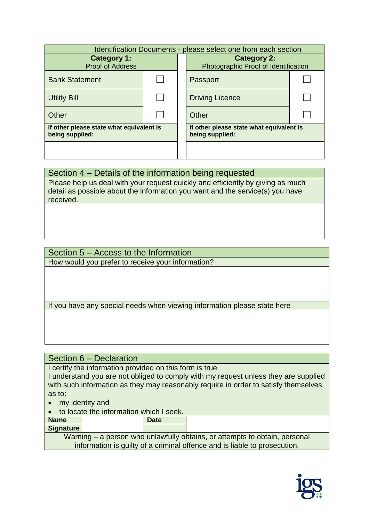| Identification Documents - please select one from each section |  |  |                                                             |  |  |
|----------------------------------------------------------------|--|--|-------------------------------------------------------------|--|--|
| <b>Category 1:</b><br><b>Proof of Address</b>                  |  |  | <b>Category 2:</b><br>Photographic Proof of Identification  |  |  |
|                                                                |  |  |                                                             |  |  |
| <b>Bank Statement</b>                                          |  |  | Passport                                                    |  |  |
| <b>Utility Bill</b>                                            |  |  | <b>Driving Licence</b>                                      |  |  |
| Other                                                          |  |  | Other                                                       |  |  |
| If other please state what equivalent is<br>being supplied:    |  |  | If other please state what equivalent is<br>being supplied: |  |  |
|                                                                |  |  |                                                             |  |  |

## Section 4 – Details of the information being requested

Please help us deal with your request quickly and efficiently by giving as much detail as possible about the information you want and the service(s) you have received.

### Section 5 – Access to the Information How would you prefer to receive your information?

If you have any special needs when viewing information please state here

Section 6 – Declaration

I certify the information provided on this form is true.

I understand you are not obliged to comply with my request unless they are supplied with such information as they may reasonably require in order to satisfy themselves as to:

my identity and

to locate the information which I seek.

| <b>Name</b>                                                                |  | <b>Date</b> |  |  |
|----------------------------------------------------------------------------|--|-------------|--|--|
| Signature                                                                  |  |             |  |  |
| Warning – a person who unlawfully obtains, or attempts to obtain, personal |  |             |  |  |
| information is guilty of a criminal offence and is liable to prosecution.  |  |             |  |  |